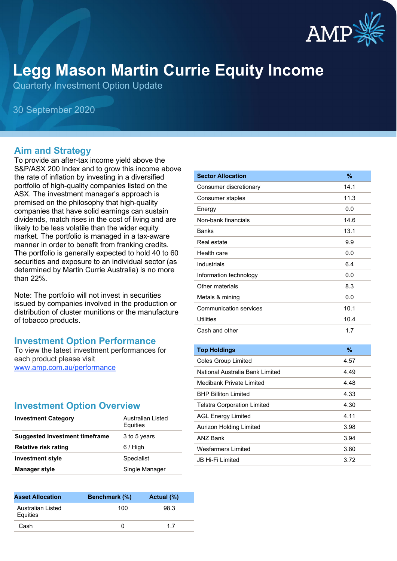

# **Legg Mason Martin Currie Equity Income**

Quarterly Investment Option Update

30 September 2020

#### **Aim and Strategy**

To provide an after-tax income yield above the S&P/ASX 200 Index and to grow this income above the rate of inflation by investing in a diversified portfolio of high-quality companies listed on the ASX. The investment manager's approach is premised on the philosophy that high-quality companies that have solid earnings can sustain dividends, match rises in the cost of living and are likely to be less volatile than the wider equity market. The portfolio is managed in a tax-aware manner in order to benefit from franking credits. The portfolio is generally expected to hold 40 to 60 securities and exposure to an individual sector (as determined by Martin Currie Australia) is no more than 22%.

Note: The portfolio will not invest in securities issued by companies involved in the production or distribution of cluster munitions or the manufacture of tobacco products.

#### **Investment Option Performance**

To view the latest investment performances for each product please visit [www.amp.com.au/performance](https://www.amp.com.au/performance)

#### **Investment Option Overview**

| <b>Investment Category</b>     | Australian Listed<br>Equities |
|--------------------------------|-------------------------------|
| Suggested Investment timeframe | 3 to 5 years                  |
| <b>Relative risk rating</b>    | $6/$ High                     |
| <b>Investment style</b>        | Specialist                    |
| <b>Manager style</b>           | Single Manager                |

| <b>Asset Allocation</b>       | <b>Benchmark (%)</b> | Actual (%) |
|-------------------------------|----------------------|------------|
| Australian Listed<br>Equities | 100                  | 98.3       |
| Cash                          |                      | 17         |

| <b>Sector Allocation</b>           | %             |
|------------------------------------|---------------|
| Consumer discretionary             | 14.1          |
| Consumer staples                   | 11.3          |
| Energy                             | 0.0           |
| Non-bank financials                | 14.6          |
| <b>Banks</b>                       | 13.1          |
| Real estate                        | 9.9           |
| Health care                        | 0.0           |
| Industrials                        | 6.4           |
| Information technology             | 0.0           |
| Other materials                    | 8.3           |
| Metals & mining                    | 0.0           |
| <b>Communication services</b>      | 10.1          |
| <b>Utilities</b>                   | 10.4          |
| Cash and other                     | 1.7           |
|                                    |               |
| <b>Top Holdings</b>                | $\frac{9}{6}$ |
| <b>Coles Group Limited</b>         | 4.57          |
| National Australia Bank Limited    | 4.49          |
| Medibank Private Limited           | 4.48          |
| <b>BHP Billiton Limited</b>        | 4.33          |
| <b>Telstra Corporation Limited</b> | 4.30          |
| <b>AGL Energy Limited</b>          | 4.11          |
| Aurizon Holding Limited            | 3.98          |
| <b>ANZ Bank</b>                    | 3.94          |
| <b>Wesfarmers Limited</b>          | 3.80          |
| JB Hi-Fi Limited                   | 3.72          |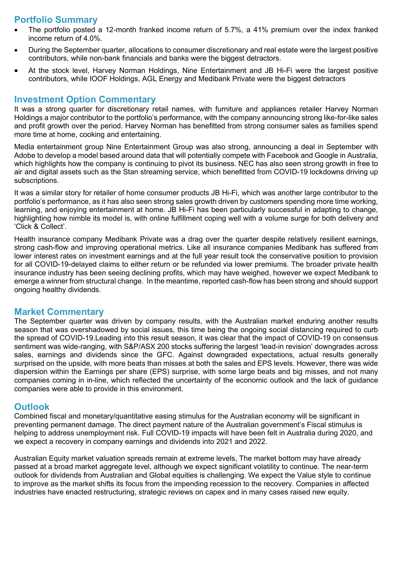## **Portfolio Summary**

- The portfolio posted a 12-month franked income return of 5.7%, a 41% premium over the index franked income return of 4.0%.
- During the September quarter, allocations to consumer discretionary and real estate were the largest positive contributors, while non-bank financials and banks were the biggest detractors.
- At the stock level, Harvey Norman Holdings, Nine Entertainment and JB Hi-Fi were the largest positive contributors, while IOOF Holdings, AGL Energy and Medibank Private were the biggest detractors

#### **Investment Option Commentary**

It was a strong quarter for discretionary retail names, with furniture and appliances retailer Harvey Norman Holdings a major contributor to the portfolio's performance, with the company announcing strong like-for-like sales and profit growth over the period. Harvey Norman has benefitted from strong consumer sales as families spend more time at home, cooking and entertaining.

Media entertainment group Nine Entertainment Group was also strong, announcing a deal in September with Adobe to develop a model based around data that will potentially compete with Facebook and Google in Australia, which highlights how the company is continuing to pivot its business. NEC has also seen strong growth in free to air and digital assets such as the Stan streaming service, which benefitted from COVID-19 lockdowns driving up subscriptions.

It was a similar story for retailer of home consumer products JB Hi-Fi, which was another large contributor to the portfolio's performance, as it has also seen strong sales growth driven by customers spending more time working, learning, and enjoying entertainment at home. JB Hi-Fi has been particularly successful in adapting to change, highlighting how nimble its model is, with online fulfillment coping well with a volume surge for both delivery and 'Click & Collect'.

Health insurance company Medibank Private was a drag over the quarter despite relatively resilient earnings, strong cash-flow and improving operational metrics. Like all insurance companies Medibank has suffered from lower interest rates on investment earnings and at the full year result took the conservative position to provision for all COVID-19-delayed claims to either return or be refunded via lower premiums. The broader private health insurance industry has been seeing declining profits, which may have weighed, however we expect Medibank to emerge a winner from structural change. In the meantime, reported cash-flow has been strong and should support ongoing healthy dividends.

#### **Market Commentary**

The September quarter was driven by company results, with the Australian market enduring another results season that was overshadowed by social issues, this time being the ongoing social distancing required to curb the spread of COVID-19.Leading into this result season, it was clear that the impact of COVID-19 on consensus sentiment was wide-ranging, with S&P/ASX 200 stocks suffering the largest 'lead-in revision' downgrades across sales, earnings and dividends since the GFC. Against downgraded expectations, actual results generally surprised on the upside, with more beats than misses at both the sales and EPS levels. However, there was wide dispersion within the Earnings per share (EPS) surprise, with some large beats and big misses, and not many companies coming in in-line, which reflected the uncertainty of the economic outlook and the lack of guidance companies were able to provide in this environment.

#### **Outlook**

Combined fiscal and monetary/quantitative easing stimulus for the Australian economy will be significant in preventing permanent damage. The direct payment nature of the Australian government's Fiscal stimulus is helping to address unemployment risk. Full COVID-19 impacts will have been felt in Australia during 2020, and we expect a recovery in company earnings and dividends into 2021 and 2022.

Australian Equity market valuation spreads remain at extreme levels, The market bottom may have already passed at a broad market aggregate level, although we expect significant volatility to continue. The near-term outlook for dividends from Australian and Global equities is challenging. We expect the Value style to continue to improve as the market shifts its focus from the impending recession to the recovery. Companies in affected industries have enacted restructuring, strategic reviews on capex and in many cases raised new equity.